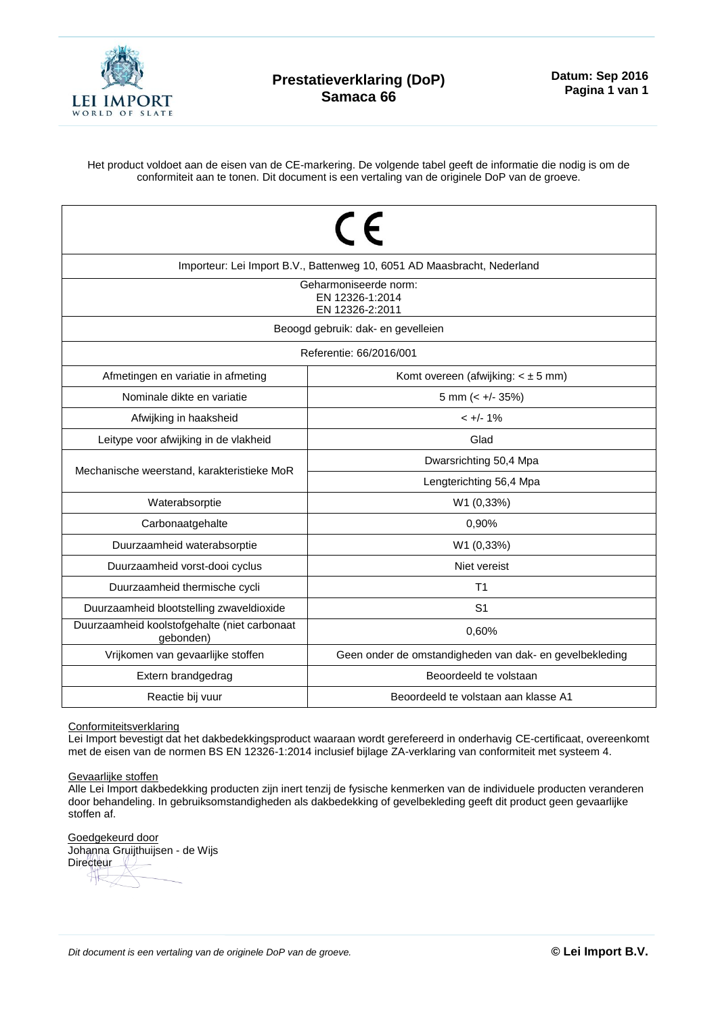

Het product voldoet aan de eisen van de CE-markering. De volgende tabel geeft de informatie die nodig is om de conformiteit aan te tonen. Dit document is een vertaling van de originele DoP van de groeve.

| $\epsilon$<br>Importeur: Lei Import B.V., Battenweg 10, 6051 AD Maasbracht, Nederland<br>Geharmoniseerde norm: |                                                         |  |  |  |  |  |  |
|----------------------------------------------------------------------------------------------------------------|---------------------------------------------------------|--|--|--|--|--|--|
| EN 12326-1:2014<br>EN 12326-2:2011                                                                             |                                                         |  |  |  |  |  |  |
| Beoogd gebruik: dak- en gevelleien                                                                             |                                                         |  |  |  |  |  |  |
| Referentie: 66/2016/001                                                                                        |                                                         |  |  |  |  |  |  |
| Afmetingen en variatie in afmeting                                                                             | Komt overeen (afwijking: $\lt \pm 5$ mm)                |  |  |  |  |  |  |
| Nominale dikte en variatie                                                                                     | 5 mm $(< +/- 35%)$                                      |  |  |  |  |  |  |
| Afwijking in haaksheid                                                                                         | $< +/- 1\%$                                             |  |  |  |  |  |  |
| Leitype voor afwijking in de vlakheid                                                                          | Glad                                                    |  |  |  |  |  |  |
| Mechanische weerstand, karakteristieke MoR                                                                     | Dwarsrichting 50,4 Mpa                                  |  |  |  |  |  |  |
|                                                                                                                | Lengterichting 56,4 Mpa                                 |  |  |  |  |  |  |
| Waterabsorptie                                                                                                 | W1 (0,33%)                                              |  |  |  |  |  |  |
| Carbonaatgehalte                                                                                               | 0,90%                                                   |  |  |  |  |  |  |
| Duurzaamheid waterabsorptie                                                                                    | W1 (0,33%)                                              |  |  |  |  |  |  |
| Duurzaamheid vorst-dooi cyclus                                                                                 | Niet vereist                                            |  |  |  |  |  |  |
| Duurzaamheid thermische cycli                                                                                  | T1                                                      |  |  |  |  |  |  |
| Duurzaamheid blootstelling zwaveldioxide                                                                       | S <sub>1</sub>                                          |  |  |  |  |  |  |
| Duurzaamheid koolstofgehalte (niet carbonaat<br>gebonden)                                                      | 0,60%                                                   |  |  |  |  |  |  |
| Vrijkomen van gevaarlijke stoffen                                                                              | Geen onder de omstandigheden van dak- en gevelbekleding |  |  |  |  |  |  |
| Extern brandgedrag                                                                                             | Beoordeeld te volstaan                                  |  |  |  |  |  |  |
| Reactie bij vuur                                                                                               | Beoordeeld te volstaan aan klasse A1                    |  |  |  |  |  |  |

## Conformiteitsverklaring

Lei Import bevestigt dat het dakbedekkingsproduct waaraan wordt gerefereerd in onderhavig CE-certificaat, overeenkomt met de eisen van de normen BS EN 12326-1:2014 inclusief bijlage ZA-verklaring van conformiteit met systeem 4.

## Gevaarlijke stoffen

Alle Lei Import dakbedekking producten zijn inert tenzij de fysische kenmerken van de individuele producten veranderen door behandeling. In gebruiksomstandigheden als dakbedekking of gevelbekleding geeft dit product geen gevaarlijke stoffen af.

Goedgekeurd door Johanna Gruijthuijsen - de Wijs Directeur  $\overline{\textsf{H}}$